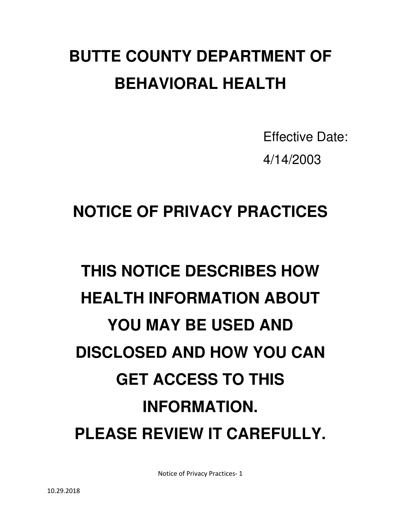## **BUTTE COUNTY DEPARTMENT OF BEHAVIORAL HEALTH**

Effective Date: 4/14/2003

### **NOTICE OF PRIVACY PRACTICES**

# **THIS NOTICE DESCRIBES HOW HEALTH INFORMATION ABOUT YOU MAY BE USED AND DISCLOSED AND HOW YOU CAN GET ACCESS TO THIS INFORMATION. PLEASE REVIEW IT CAREFULLY.**

Notice of Privacy Practices- 1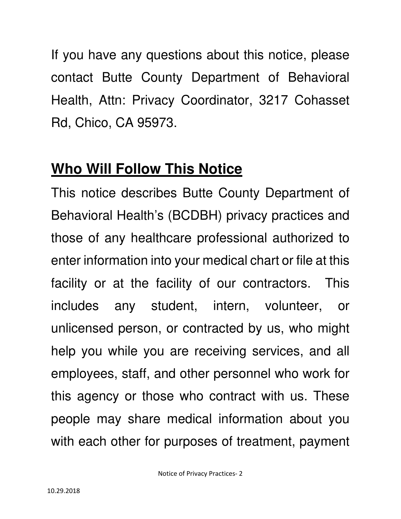If you have any questions about this notice, please contact Butte County Department of Behavioral Health, Attn: Privacy Coordinator, 3217 Cohasset Rd, Chico, CA 95973.

#### **Who Will Follow This Notice**

This notice describes Butte County Department of Behavioral Health's (BCDBH) privacy practices and those of any healthcare professional authorized to enter information into your medical chart or file at this facility or at the facility of our contractors. This includes any student, intern, volunteer, or unlicensed person, or contracted by us, who might help you while you are receiving services, and all employees, staff, and other personnel who work for this agency or those who contract with us. These people may share medical information about you with each other for purposes of treatment, payment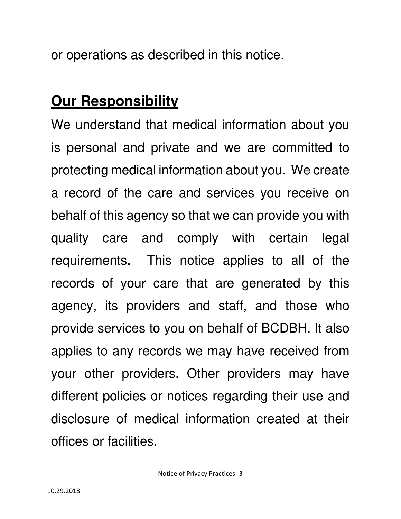or operations as described in this notice.

#### **Our Responsibility**

We understand that medical information about you is personal and private and we are committed to protecting medical information about you. We create a record of the care and services you receive on behalf of this agency so that we can provide you with quality care and comply with certain legal requirements. This notice applies to all of the records of your care that are generated by this agency, its providers and staff, and those who provide services to you on behalf of BCDBH. It also applies to any records we may have received from your other providers. Other providers may have different policies or notices regarding their use and disclosure of medical information created at their offices or facilities.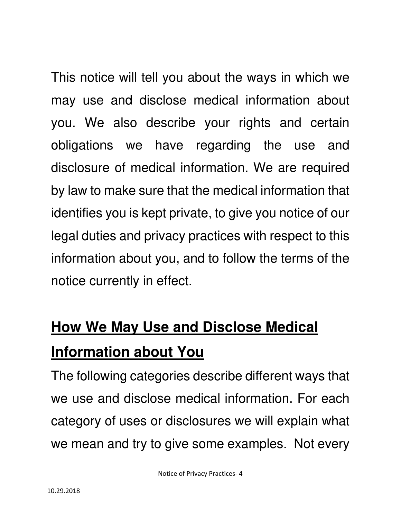This notice will tell you about the ways in which we may use and disclose medical information about you. We also describe your rights and certain obligations we have regarding the use and disclosure of medical information. We are required by law to make sure that the medical information that identifies you is kept private, to give you notice of our legal duties and privacy practices with respect to this information about you, and to follow the terms of the notice currently in effect.

## **How We May Use and Disclose Medical Information about You**

The following categories describe different ways that we use and disclose medical information. For each category of uses or disclosures we will explain what we mean and try to give some examples. Not every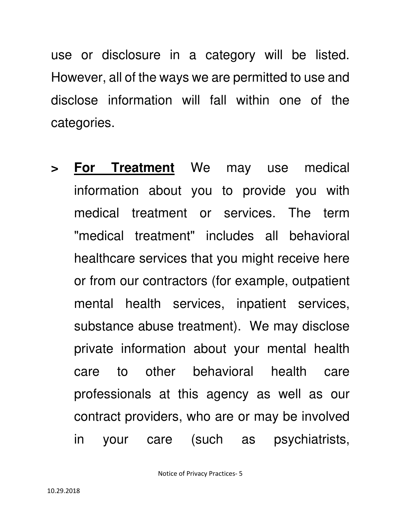use or disclosure in a category will be listed. However, all of the ways we are permitted to use and disclose information will fall within one of the categories.

**> For Treatment** We may use medical information about you to provide you with medical treatment or services. The term "medical treatment" includes all behavioral healthcare services that you might receive here or from our contractors (for example, outpatient mental health services, inpatient services, substance abuse treatment). We may disclose private information about your mental health care to other behavioral health care professionals at this agency as well as our contract providers, who are or may be involved in your care (such as psychiatrists,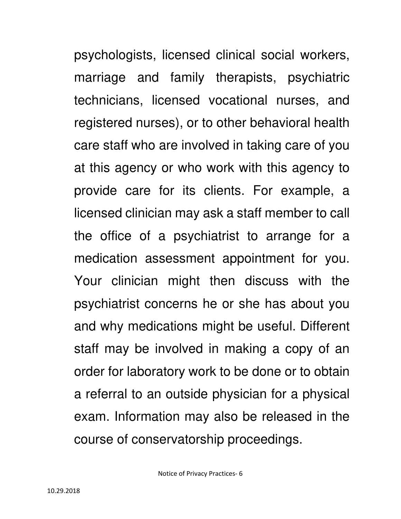psychologists, licensed clinical social workers, marriage and family therapists, psychiatric technicians, licensed vocational nurses, and registered nurses), or to other behavioral health care staff who are involved in taking care of you at this agency or who work with this agency to provide care for its clients. For example, a licensed clinician may ask a staff member to call the office of a psychiatrist to arrange for a medication assessment appointment for you. Your clinician might then discuss with the psychiatrist concerns he or she has about you and why medications might be useful. Different staff may be involved in making a copy of an order for laboratory work to be done or to obtain a referral to an outside physician for a physical exam. Information may also be released in the course of conservatorship proceedings.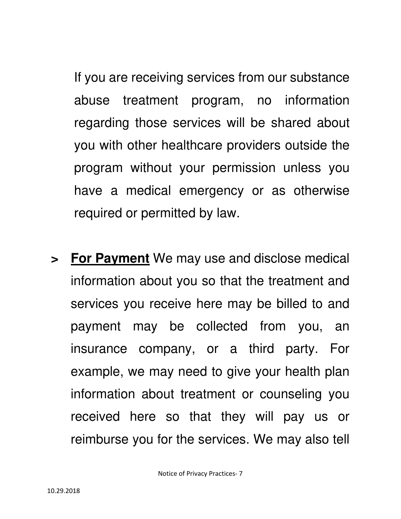If you are receiving services from our substance abuse treatment program, no information regarding those services will be shared about you with other healthcare providers outside the program without your permission unless you have a medical emergency or as otherwise required or permitted by law.

**> For Payment** We may use and disclose medical information about you so that the treatment and services you receive here may be billed to and payment may be collected from you, an insurance company, or a third party. For example, we may need to give your health plan information about treatment or counseling you received here so that they will pay us or reimburse you for the services. We may also tell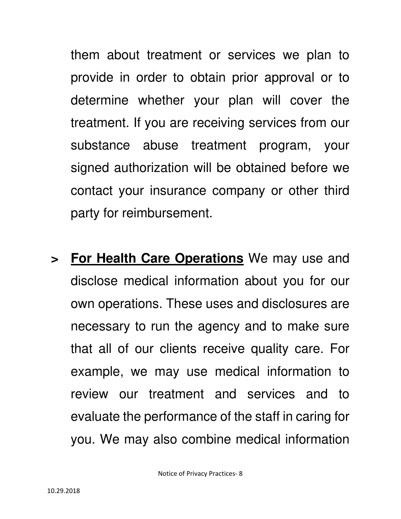them about treatment or services we plan to provide in order to obtain prior approval or to determine whether your plan will cover the treatment. If you are receiving services from our substance abuse treatment program, your signed authorization will be obtained before we contact your insurance company or other third party for reimbursement.

**> For Health Care Operations** We may use and disclose medical information about you for our own operations. These uses and disclosures are necessary to run the agency and to make sure that all of our clients receive quality care. For example, we may use medical information to review our treatment and services and to evaluate the performance of the staff in caring for you. We may also combine medical information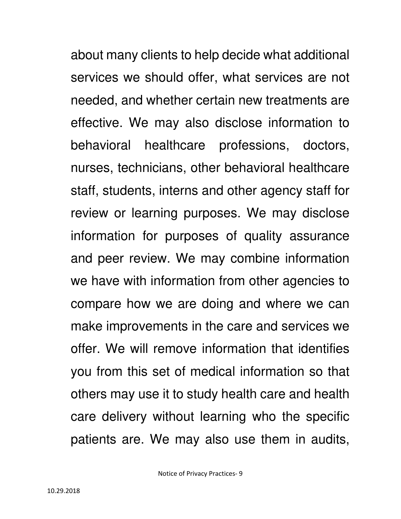about many clients to help decide what additional services we should offer, what services are not needed, and whether certain new treatments are effective. We may also disclose information to behavioral healthcare professions, doctors, nurses, technicians, other behavioral healthcare staff, students, interns and other agency staff for review or learning purposes. We may disclose information for purposes of quality assurance and peer review. We may combine information we have with information from other agencies to compare how we are doing and where we can make improvements in the care and services we offer. We will remove information that identifies you from this set of medical information so that others may use it to study health care and health care delivery without learning who the specific patients are. We may also use them in audits,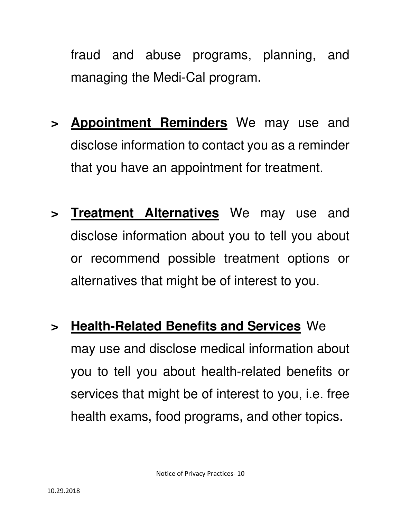fraud and abuse programs, planning, and managing the Medi-Cal program.

- **> Appointment Reminders** We may use and disclose information to contact you as a reminder that you have an appointment for treatment.
- **> Treatment Alternatives** We may use and disclose information about you to tell you about or recommend possible treatment options or alternatives that might be of interest to you.
- **> Health-Related Benefits and Services** We may use and disclose medical information about you to tell you about health-related benefits or services that might be of interest to you, i.e. free health exams, food programs, and other topics.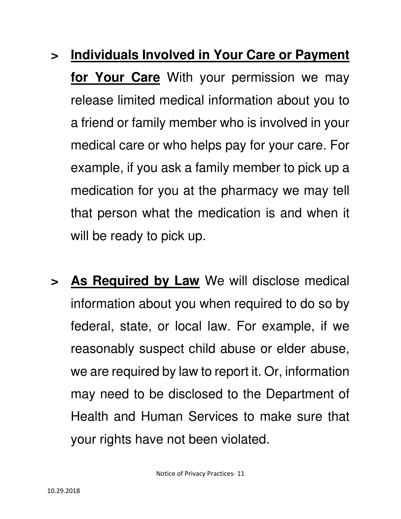- **> Individuals Involved in Your Care or Payment for Your Care** With your permission we may release limited medical information about you to a friend or family member who is involved in your medical care or who helps pay for your care. For example, if you ask a family member to pick up a medication for you at the pharmacy we may tell that person what the medication is and when it will be ready to pick up.
- **> As Required by Law** We will disclose medical information about you when required to do so by federal, state, or local law. For example, if we reasonably suspect child abuse or elder abuse, we are required by law to report it. Or, information may need to be disclosed to the Department of Health and Human Services to make sure that your rights have not been violated.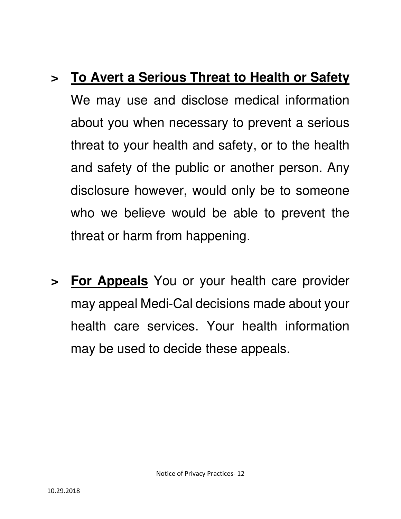- **> To Avert a Serious Threat to Health or Safety** We may use and disclose medical information about you when necessary to prevent a serious threat to your health and safety, or to the health and safety of the public or another person. Any disclosure however, would only be to someone who we believe would be able to prevent the threat or harm from happening.
- **> For Appeals** You or your health care provider may appeal Medi-Cal decisions made about your health care services. Your health information may be used to decide these appeals.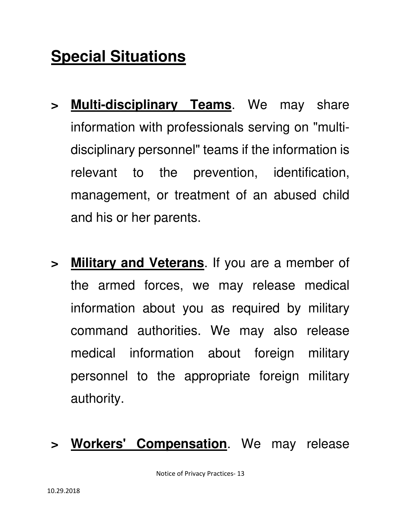## **Special Situations**

- **> Multi-disciplinary Teams**. We may share information with professionals serving on "multidisciplinary personnel" teams if the information is relevant to the prevention, identification, management, or treatment of an abused child and his or her parents.
- **> Military and Veterans**. If you are a member of the armed forces, we may release medical information about you as required by military command authorities. We may also release medical information about foreign military personnel to the appropriate foreign military authority.
- **> Workers' Compensation**. We may release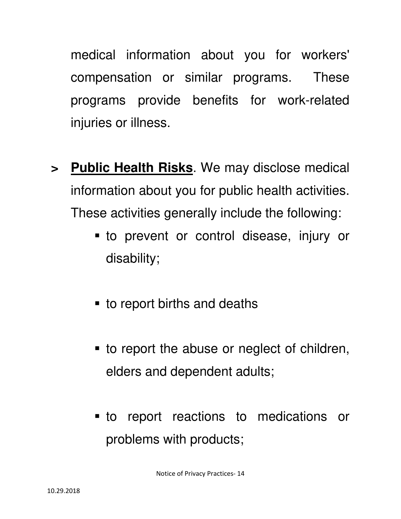medical information about you for workers' compensation or similar programs. These programs provide benefits for work-related injuries or illness.

- **> Public Health Risks**. We may disclose medical information about you for public health activities. These activities generally include the following:
	- to prevent or control disease, injury or disability;
	- **to report births and deaths**
	- to report the abuse or neglect of children, elders and dependent adults;
	- to report reactions to medications or problems with products;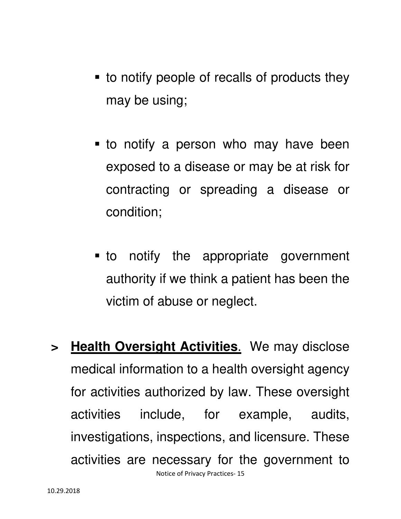- to notify people of recalls of products they may be using;
- **to notify a person who may have been** exposed to a disease or may be at risk for contracting or spreading a disease or condition;
- **to** notify the appropriate government authority if we think a patient has been the victim of abuse or neglect.
- Notice of Privacy Practices- 15 **> Health Oversight Activities**. We may disclose medical information to a health oversight agency for activities authorized by law. These oversight activities include, for example, audits, investigations, inspections, and licensure. These activities are necessary for the government to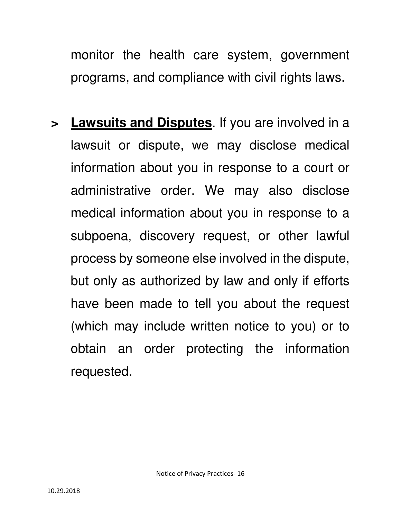monitor the health care system, government programs, and compliance with civil rights laws.

**> Lawsuits and Disputes**. If you are involved in a lawsuit or dispute, we may disclose medical information about you in response to a court or administrative order. We may also disclose medical information about you in response to a subpoena, discovery request, or other lawful process by someone else involved in the dispute, but only as authorized by law and only if efforts have been made to tell you about the request (which may include written notice to you) or to obtain an order protecting the information requested.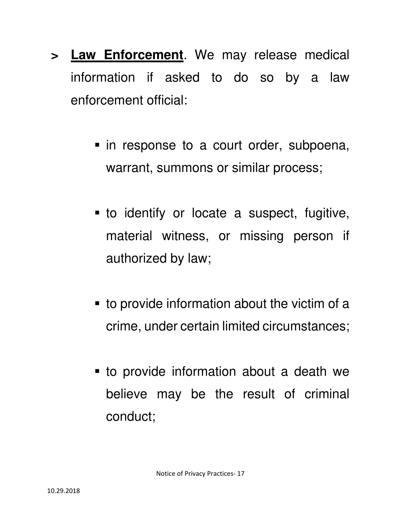- **> Law Enforcement**. We may release medical information if asked to do so by a law enforcement official:
	- In response to a court order, subpoena, warrant, summons or similar process;
	- to identify or locate a suspect, fugitive, material witness, or missing person if authorized by law;
	- **to provide information about the victim of a** crime, under certain limited circumstances;
	- to provide information about a death we believe may be the result of criminal conduct;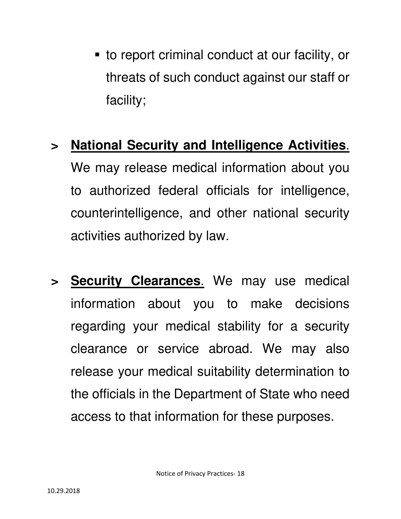to report criminal conduct at our facility, or threats of such conduct against our staff or facility;

#### **> National Security and Intelligence Activities**.

We may release medical information about you to authorized federal officials for intelligence, counterintelligence, and other national security activities authorized by law.

**> Security Clearances**. We may use medical information about you to make decisions regarding your medical stability for a security clearance or service abroad. We may also release your medical suitability determination to the officials in the Department of State who need access to that information for these purposes.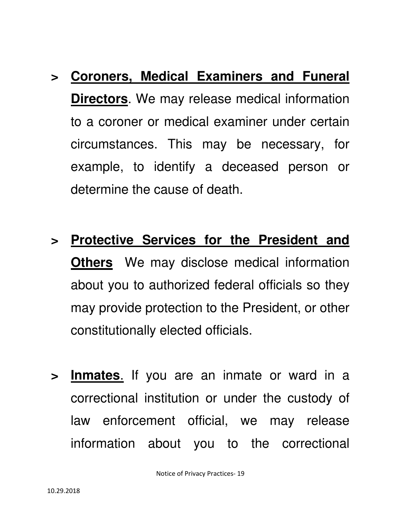## **> Coroners, Medical Examiners and Funeral Directors**. We may release medical information to a coroner or medical examiner under certain circumstances. This may be necessary, for example, to identify a deceased person or determine the cause of death.

- **> Protective Services for the President and Others** We may disclose medical information about you to authorized federal officials so they may provide protection to the President, or other constitutionally elected officials.
- **> Inmates**. If you are an inmate or ward in a correctional institution or under the custody of law enforcement official, we may release information about you to the correctional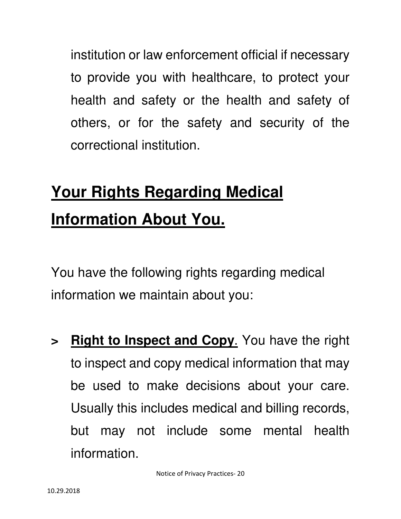institution or law enforcement official if necessary to provide you with healthcare, to protect your health and safety or the health and safety of others, or for the safety and security of the correctional institution.

## **Your Rights Regarding Medical Information About You.**

You have the following rights regarding medical information we maintain about you:

**> Right to Inspect and Copy**. You have the right to inspect and copy medical information that may be used to make decisions about your care. Usually this includes medical and billing records, but may not include some mental health information.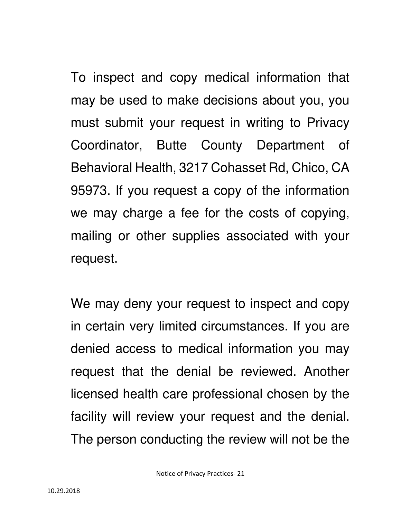To inspect and copy medical information that may be used to make decisions about you, you must submit your request in writing to Privacy Coordinator, Butte County Department of Behavioral Health, 3217 Cohasset Rd, Chico, CA 95973. If you request a copy of the information we may charge a fee for the costs of copying, mailing or other supplies associated with your request.

We may deny your request to inspect and copy in certain very limited circumstances. If you are denied access to medical information you may request that the denial be reviewed. Another licensed health care professional chosen by the facility will review your request and the denial. The person conducting the review will not be the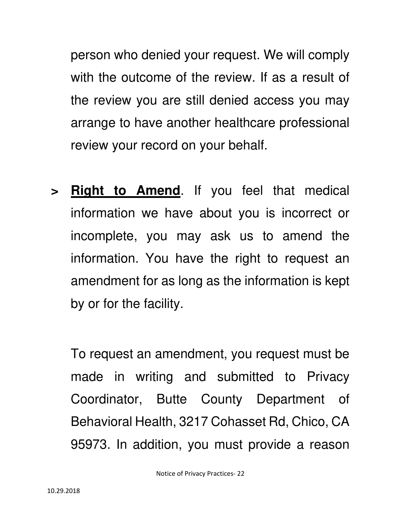person who denied your request. We will comply with the outcome of the review. If as a result of the review you are still denied access you may arrange to have another healthcare professional review your record on your behalf.

**> Right to Amend**. If you feel that medical information we have about you is incorrect or incomplete, you may ask us to amend the information. You have the right to request an amendment for as long as the information is kept by or for the facility.

To request an amendment, you request must be made in writing and submitted to Privacy Coordinator, Butte County Department of Behavioral Health, 3217 Cohasset Rd, Chico, CA 95973. In addition, you must provide a reason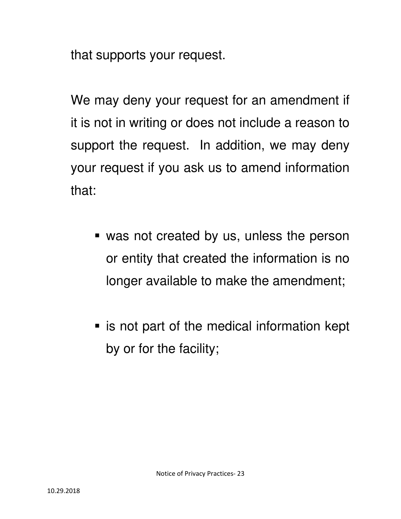that supports your request.

We may deny your request for an amendment if it is not in writing or does not include a reason to support the request. In addition, we may deny your request if you ask us to amend information that:

- was not created by us, unless the person or entity that created the information is no longer available to make the amendment;
- **Example 1** is not part of the medical information kept by or for the facility;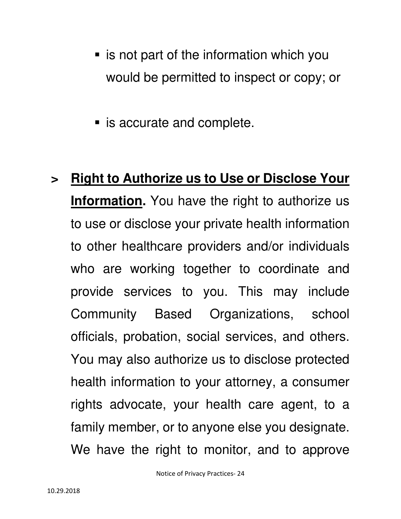- is not part of the information which you would be permitted to inspect or copy; or
- **E** is accurate and complete.
- **> Right to Authorize us to Use or Disclose Your Information.** You have the right to authorize us to use or disclose your private health information to other healthcare providers and/or individuals who are working together to coordinate and provide services to you. This may include Community Based Organizations, school officials, probation, social services, and others. You may also authorize us to disclose protected health information to your attorney, a consumer rights advocate, your health care agent, to a family member, or to anyone else you designate. We have the right to monitor, and to approve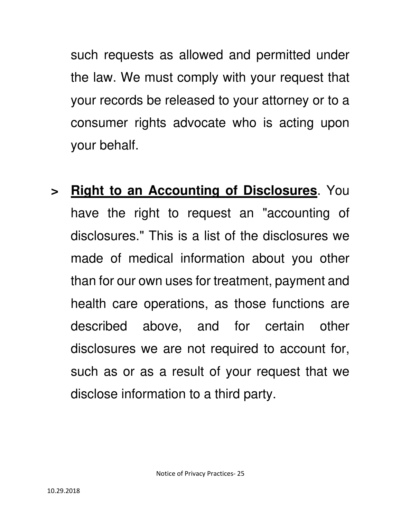such requests as allowed and permitted under the law. We must comply with your request that your records be released to your attorney or to a consumer rights advocate who is acting upon your behalf.

**> Right to an Accounting of Disclosures**. You have the right to request an "accounting of disclosures." This is a list of the disclosures we made of medical information about you other than for our own uses for treatment, payment and health care operations, as those functions are described above, and for certain other disclosures we are not required to account for, such as or as a result of your request that we disclose information to a third party.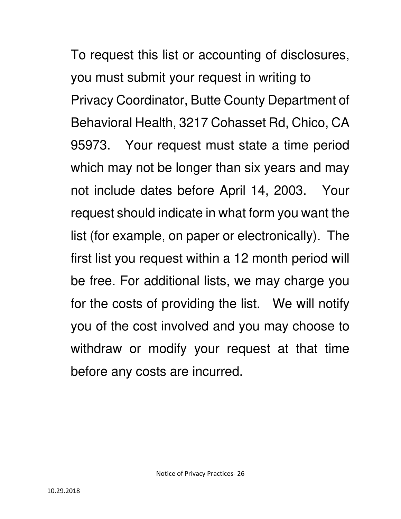To request this list or accounting of disclosures, you must submit your request in writing to Privacy Coordinator, Butte County Department of Behavioral Health, 3217 Cohasset Rd, Chico, CA 95973. Your request must state a time period which may not be longer than six years and may not include dates before April 14, 2003. Your request should indicate in what form you want the list (for example, on paper or electronically). The first list you request within a 12 month period will be free. For additional lists, we may charge you for the costs of providing the list. We will notify you of the cost involved and you may choose to withdraw or modify your request at that time before any costs are incurred.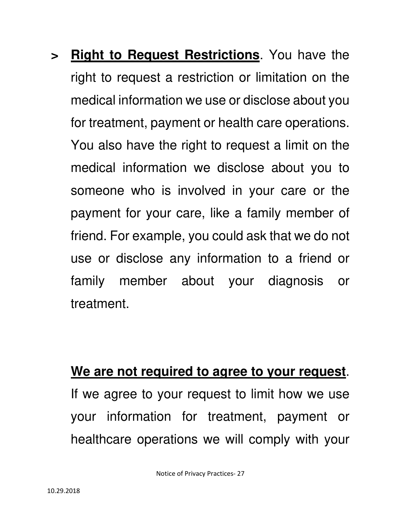**> Right to Request Restrictions**. You have the right to request a restriction or limitation on the medical information we use or disclose about you for treatment, payment or health care operations. You also have the right to request a limit on the medical information we disclose about you to someone who is involved in your care or the payment for your care, like a family member of friend. For example, you could ask that we do not use or disclose any information to a friend or family member about your diagnosis or treatment.

## **We are not required to agree to your request**. If we agree to your request to limit how we use your information for treatment, payment or healthcare operations we will comply with your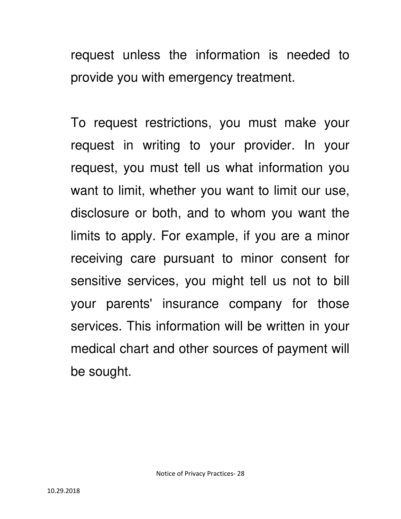request unless the information is needed to provide you with emergency treatment.

To request restrictions, you must make your request in writing to your provider. In your request, you must tell us what information you want to limit, whether you want to limit our use, disclosure or both, and to whom you want the limits to apply. For example, if you are a minor receiving care pursuant to minor consent for sensitive services, you might tell us not to bill your parents' insurance company for those services. This information will be written in your medical chart and other sources of payment will be sought.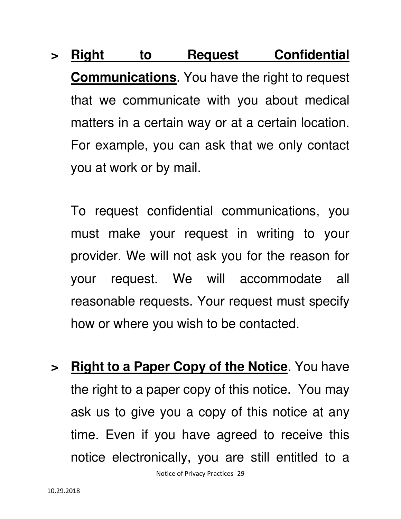**> Right to Request Confidential Communications**. You have the right to request that we communicate with you about medical matters in a certain way or at a certain location. For example, you can ask that we only contact you at work or by mail.

To request confidential communications, you must make your request in writing to your provider. We will not ask you for the reason for your request. We will accommodate all reasonable requests. Your request must specify how or where you wish to be contacted.

**> Right to a Paper Copy of the Notice**. You have the right to a paper copy of this notice. You may ask us to give you a copy of this notice at any time. Even if you have agreed to receive this notice electronically, you are still entitled to a

Notice of Privacy Practices- 29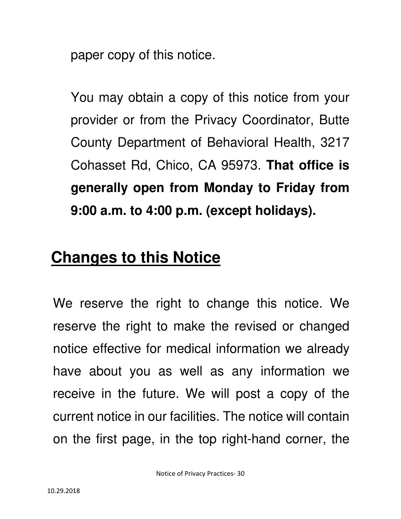paper copy of this notice.

You may obtain a copy of this notice from your provider or from the Privacy Coordinator, Butte County Department of Behavioral Health, 3217 Cohasset Rd, Chico, CA 95973. **That office is generally open from Monday to Friday from 9:00 a.m. to 4:00 p.m. (except holidays).**

#### **Changes to this Notice**

We reserve the right to change this notice. We reserve the right to make the revised or changed notice effective for medical information we already have about you as well as any information we receive in the future. We will post a copy of the current notice in our facilities. The notice will contain on the first page, in the top right-hand corner, the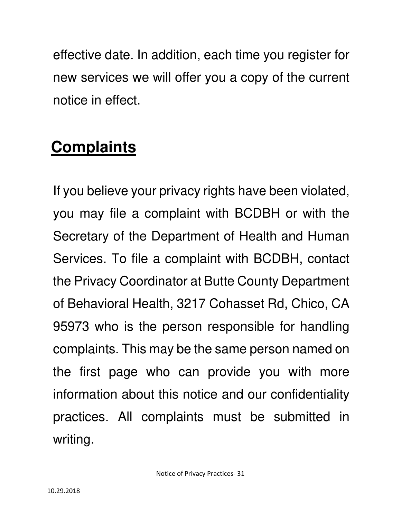effective date. In addition, each time you register for new services we will offer you a copy of the current notice in effect.

### **Complaints**

If you believe your privacy rights have been violated, you may file a complaint with BCDBH or with the Secretary of the Department of Health and Human Services. To file a complaint with BCDBH, contact the Privacy Coordinator at Butte County Department of Behavioral Health, 3217 Cohasset Rd, Chico, CA 95973 who is the person responsible for handling complaints. This may be the same person named on the first page who can provide you with more information about this notice and our confidentiality practices. All complaints must be submitted in writing.